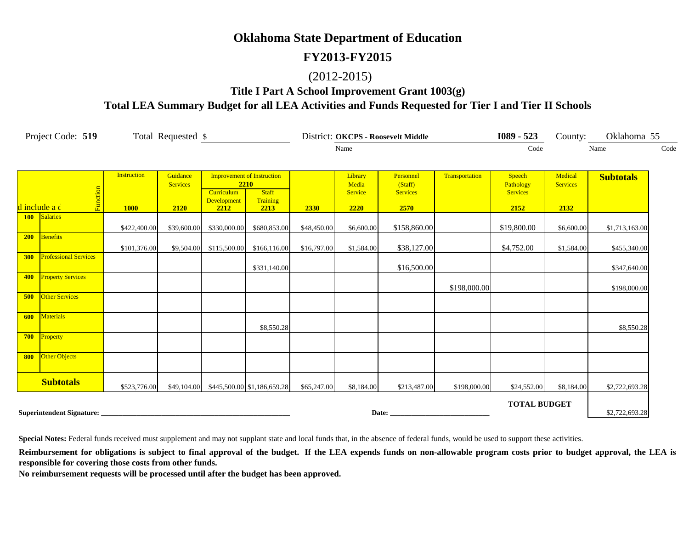#### **FY2013-FY2015**

#### (2012-2015)

#### **Title I Part A School Improvement Grant 1003(g) Total LEA Summary Budget for all LEA Activities and Funds Requested for Tier I and Tier II Schools**

|            | Project Code: 519            | Total Requested \$ |                             |                                   |                             |             |                  | District: OKCPS - Roosevelt Middle |                | $1089 - 523$                 |                            | County: Oklahoma 55 |      |
|------------|------------------------------|--------------------|-----------------------------|-----------------------------------|-----------------------------|-------------|------------------|------------------------------------|----------------|------------------------------|----------------------------|---------------------|------|
|            |                              |                    |                             |                                   |                             |             | Name             |                                    |                | Code                         |                            | Name                | Code |
|            |                              |                    |                             |                                   |                             |             |                  |                                    |                |                              |                            |                     |      |
|            |                              | <b>Instruction</b> | Guidance<br><b>Services</b> | <b>Improvement of Instruction</b> | 2210                        |             | Library<br>Media | Personnel<br>(Staff)               | Transportation | Speech                       | Medical<br><b>Services</b> | <b>Subtotals</b>    |      |
|            |                              |                    |                             | <b>Curriculum</b>                 | <b>Staff</b>                |             | Service          | <b>Services</b>                    |                | Pathology<br><b>Services</b> |                            |                     |      |
|            | Function<br>d include a c    | <b>1000</b>        | 2120                        | <b>Development</b><br>2212        | Training<br>2213            | 2330        | 2220             | 2570                               |                | 2152                         | 2132                       |                     |      |
|            | <b>100</b> Salaries          |                    |                             |                                   |                             |             |                  |                                    |                |                              |                            |                     |      |
|            |                              | \$422,400.00       | \$39,600.00                 | \$330,000.00                      | \$680,853.00                | \$48,450.00 | \$6,600.00       | \$158,860.00                       |                | \$19,800.00                  | \$6,600.00                 | \$1,713,163.00      |      |
| 200        | Benefits                     | \$101,376.00       | \$9,504.00                  | \$115,500.00                      | \$166,116.00                | \$16,797.00 | \$1,584.00       | \$38,127.00                        |                | \$4,752.00                   | \$1,584.00                 | \$455,340.00        |      |
| <b>300</b> | <b>Professional Services</b> |                    |                             |                                   |                             |             |                  |                                    |                |                              |                            |                     |      |
|            |                              |                    |                             |                                   | \$331,140.00                |             |                  | \$16,500.00                        |                |                              |                            | \$347,640.00        |      |
|            | 400 Property Services        |                    |                             |                                   |                             |             |                  |                                    |                |                              |                            |                     |      |
| 500        | <b>Other Services</b>        |                    |                             |                                   |                             |             |                  |                                    | \$198,000.00   |                              |                            | \$198,000.00        |      |
|            |                              |                    |                             |                                   |                             |             |                  |                                    |                |                              |                            |                     |      |
| 600        | <b>Materials</b>             |                    |                             |                                   |                             |             |                  |                                    |                |                              |                            |                     |      |
|            |                              |                    |                             |                                   | \$8,550.28                  |             |                  |                                    |                |                              |                            | \$8,550.28          |      |
|            | 700 Property                 |                    |                             |                                   |                             |             |                  |                                    |                |                              |                            |                     |      |
| 800        | Other Objects                |                    |                             |                                   |                             |             |                  |                                    |                |                              |                            |                     |      |
|            |                              |                    |                             |                                   |                             |             |                  |                                    |                |                              |                            |                     |      |
|            | <b>Subtotals</b>             | \$523,776.00       | \$49,104.00                 |                                   | \$445,500.00 \$1,186,659.28 | \$65,247.00 | \$8,184.00       | \$213,487.00                       | \$198,000.00   | \$24,552.00                  | \$8,184.00                 | \$2,722,693.28      |      |
|            |                              |                    |                             |                                   |                             |             |                  |                                    |                | <b>TOTAL BUDGET</b>          |                            |                     |      |
|            | Superintendent Signature:    |                    |                             |                                   |                             |             | Date:            |                                    |                |                              |                            | \$2,722,693.28      |      |

**Special Notes:** Federal funds received must supplement and may not supplant state and local funds that, in the absence of federal funds, would be used to support these activities.

Reimbursement for obligations is subject to final approval of the budget. If the LEA expends funds on non-allowable program costs prior to budget approval, the LEA is **responsible for covering those costs from other funds.**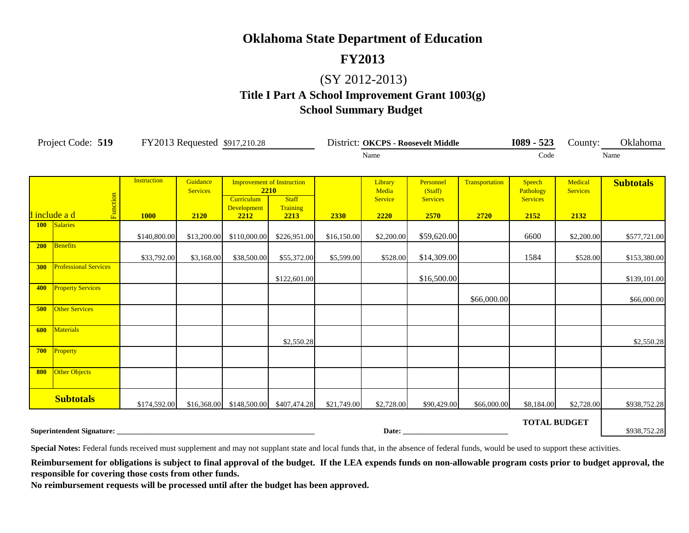## **FY2013**

# (SY 2012-2013)

# **Title I Part A School Improvement Grant 1003(g) School Summary Budget**

|                                                                                    | Project Code: 519            | FY2013 Requested \$917,210.28     |                                     |                                                                                       |                                  |             |                                     | District: OKCPS - Roosevelt Middle              |                        | $1089 - 523$                                   | County:                            | Oklahoma         |
|------------------------------------------------------------------------------------|------------------------------|-----------------------------------|-------------------------------------|---------------------------------------------------------------------------------------|----------------------------------|-------------|-------------------------------------|-------------------------------------------------|------------------------|------------------------------------------------|------------------------------------|------------------|
|                                                                                    |                              |                                   |                                     |                                                                                       |                                  |             | Name                                |                                                 |                        | Code                                           |                                    | Name             |
|                                                                                    | Function<br>d include a d    | <b>Instruction</b><br><b>1000</b> | Guidance<br><b>Services</b><br>2120 | <b>Improvement of Instruction</b><br>2210<br><b>Curriculum</b><br>Development<br>2212 | <b>Staff</b><br>Training<br>2213 | 2330        | Library<br>Media<br>Service<br>2220 | Personnel<br>(Staff)<br><b>Services</b><br>2570 | Transportation<br>2720 | Speech<br>Pathology<br><b>Services</b><br>2152 | Medical<br><b>Services</b><br>2132 | <b>Subtotals</b> |
| <b>100</b>                                                                         | Salaries                     | \$140,800.00                      | \$13,200.00                         | \$110,000.00                                                                          | \$226,951.00                     | \$16,150.00 | \$2,200.00                          | \$59,620.00                                     |                        | 6600                                           | \$2,200.00                         | \$577,721.00     |
| 200                                                                                | <b>Benefits</b>              | \$33,792.00                       | \$3,168.00                          | \$38,500.00                                                                           | \$55,372.00                      | \$5,599.00  | \$528.00                            | \$14,309.00                                     |                        | 1584                                           | \$528.00                           | \$153,380.00     |
| 300                                                                                | <b>Professional Services</b> |                                   |                                     |                                                                                       | \$122,601.00                     |             |                                     | \$16,500.00                                     |                        |                                                |                                    | \$139,101.00     |
| 400                                                                                | <b>Property Services</b>     |                                   |                                     |                                                                                       |                                  |             |                                     |                                                 | \$66,000.00            |                                                |                                    | \$66,000.00      |
| 500                                                                                | <b>Other Services</b>        |                                   |                                     |                                                                                       |                                  |             |                                     |                                                 |                        |                                                |                                    |                  |
| 600                                                                                | <b>Materials</b>             |                                   |                                     |                                                                                       | \$2,550.28                       |             |                                     |                                                 |                        |                                                |                                    | \$2,550.28       |
| 700                                                                                | Property                     |                                   |                                     |                                                                                       |                                  |             |                                     |                                                 |                        |                                                |                                    |                  |
| 800                                                                                | Other Objects                |                                   |                                     |                                                                                       |                                  |             |                                     |                                                 |                        |                                                |                                    |                  |
|                                                                                    | <b>Subtotals</b>             | \$174,592.00                      | \$16,368.00                         | \$148,500.00                                                                          | \$407,474.28                     | \$21,749.00 | \$2,728.00                          | \$90,429.00                                     | \$66,000.00            | \$8,184.00                                     | \$2,728.00                         | \$938,752.28     |
| <b>TOTAL BUDGET</b><br>Superintendent Signature:<br>Date: $\overline{\phantom{a}}$ |                              |                                   |                                     |                                                                                       |                                  |             |                                     |                                                 |                        |                                                |                                    | \$938,752.28     |

Special Notes: Federal funds received must supplement and may not supplant state and local funds that, in the absence of federal funds, would be used to support these activities.

Reimbursement for obligations is subject to final approval of the budget. If the LEA expends funds on non-allowable program costs prior to budget approval, the **responsible for covering those costs from other funds.**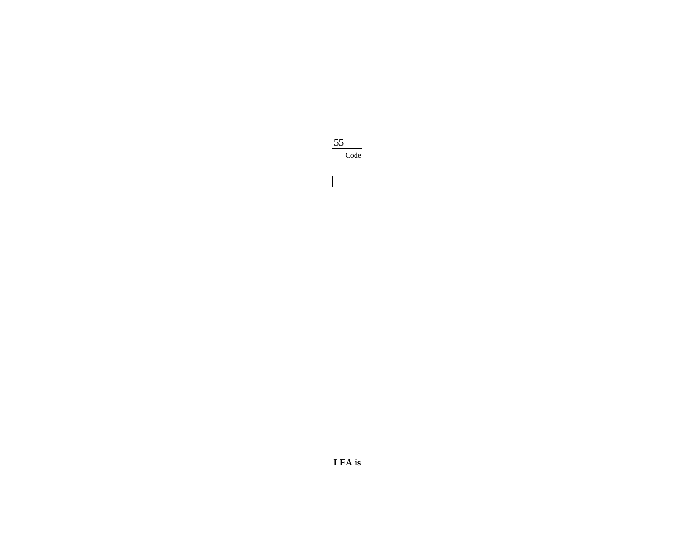

 $\overline{1}$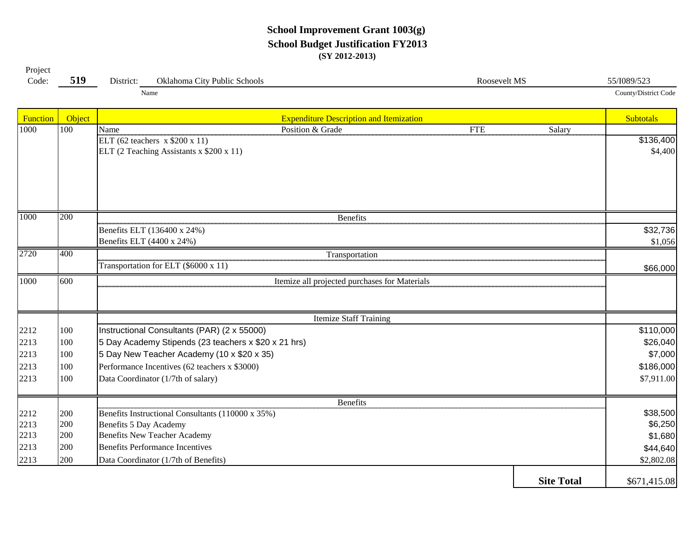#### **School Improvement Grant 1003(g) School Budget Justification FY2013 (SY 2012-2013)**

| Project |     |           |                              |              |                    |
|---------|-----|-----------|------------------------------|--------------|--------------------|
| Code:   | 519 | District: | Oklahoma City Public Schools | Roosevelt MS | 55/I089/523        |
|         |     |           | Name                         |              | County/District Co |

Function Biography Controllering Controllering in the Subtotals Expenditure Description and Itemization Controllering Controllering Subtotals 1000 | 100 | Name Salary Position & Grade The FTE Salary \$136,400 \$4,400 200\$32,736 \$1,056 400\$66,000 600100 \$110,000 Instructional Consultants (PAR) (2 x 55000) 100 $\vert$ 5 Day Academy Stipends (23 teachers x \$20 x 21 hrs) \$26,040 100 5 Day New Teacher Academy (10 x \$20 x 35) \$7,000 100 \$186,000 2213 Performance Incentives (62 teachers x \$3000) 1002213 [100 Data Coordinator (1/7th of salary) \$7,911.00 200 \$38,500 2212 Benefits Instructional Consultants (110000 x 35%) 200 \$6,250 2213 Benefits 5 Day Academy 200 \$1,680 2213 Benefits New Teacher Academy 2002213 [200] Benefits Performance Incentives **344,640 344,640** 200 \$2,802.08 2213 Data Coordinator (1/7th of Benefits) **Site Total** \$671,415.08 Benefits Itemize Staff Training 2212 22132213Transportation for ELT (\$6000 x 11) 1000 600 | CONSERVITED STREET CONSERVANCE IN THE INTERNATION ITEMIZE ALL projected purchases for Materials Benefits ELT (136400 x 24%) Benefits ELT (4400 x 24%) 2720 Transportation 10000 200 Benefits ELT (62 teachers x \$200 x 11) ELT (2 Teaching Assistants x \$200 x 11) 1000

County/District Code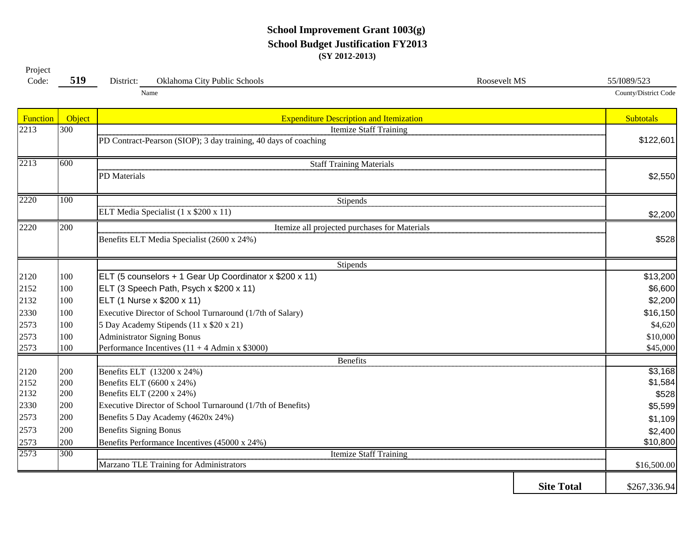#### **School Improvement Grant 1003(g) School Budget Justification FY2013 (SY 2012-2013)**

| Project |             |           |                                                                       |              |             |
|---------|-------------|-----------|-----------------------------------------------------------------------|--------------|-------------|
| Code:   | 510<br>ັບ⊥∠ | District: | Oklahoma City<br>$\mathbf{r}$ 1 1 $\mathbf{r}$<br>Schools<br>' Public | Roosevelt MS | 55/I089/523 |

County/District Code

Name

|  | Cour |
|--|------|
|  |      |

| Function | Object | <b>Expenditure Description and Itemization</b>                           |                   | <b>Subtotals</b> |  |  |  |  |  |  |  |  |
|----------|--------|--------------------------------------------------------------------------|-------------------|------------------|--|--|--|--|--|--|--|--|
| 2213     | 300    | <b>Itemize Staff Training</b>                                            |                   |                  |  |  |  |  |  |  |  |  |
|          |        | PD Contract-Pearson (SIOP); 3 day training, 40 days of coaching          |                   | \$122,601        |  |  |  |  |  |  |  |  |
| 2213     | 600    | <b>Staff Training Materials</b>                                          |                   |                  |  |  |  |  |  |  |  |  |
|          |        | <b>PD</b> Materials                                                      |                   | \$2,550          |  |  |  |  |  |  |  |  |
|          |        |                                                                          |                   |                  |  |  |  |  |  |  |  |  |
| 2220     | 100    | Stipends                                                                 |                   |                  |  |  |  |  |  |  |  |  |
|          |        | ELT Media Specialist (1 x \$200 x 11)                                    |                   | \$2,200          |  |  |  |  |  |  |  |  |
| 2220     | 200    | Itemize all projected purchases for Materials                            |                   |                  |  |  |  |  |  |  |  |  |
|          |        | Benefits ELT Media Specialist (2600 x 24%)                               |                   | \$528            |  |  |  |  |  |  |  |  |
|          |        | Stipends                                                                 |                   |                  |  |  |  |  |  |  |  |  |
| 2120     | 100    | ELT (5 counselors + 1 Gear Up Coordinator x \$200 x 11)                  |                   | \$13,200         |  |  |  |  |  |  |  |  |
| 2152     | 100    | ELT (3 Speech Path, Psych x \$200 x 11)                                  |                   | \$6,600          |  |  |  |  |  |  |  |  |
| 2132     | 100    | ELT (1 Nurse x \$200 x 11)                                               |                   | \$2,200          |  |  |  |  |  |  |  |  |
| 2330     | 100    | Executive Director of School Turnaround (1/7th of Salary)                |                   | \$16,150         |  |  |  |  |  |  |  |  |
| 2573     | 100    | 5 Day Academy Stipends (11 x \$20 x 21)                                  |                   | \$4,620          |  |  |  |  |  |  |  |  |
| 2573     | 100    | <b>Administrator Signing Bonus</b>                                       |                   | \$10,000         |  |  |  |  |  |  |  |  |
| 2573     | 100    | Performance Incentives $(11 + 4$ Admin x \$3000)                         |                   | \$45,000         |  |  |  |  |  |  |  |  |
|          |        | <b>Benefits</b>                                                          |                   |                  |  |  |  |  |  |  |  |  |
| 2120     | 200    | Benefits ELT (13200 x 24%)                                               |                   | \$3,168          |  |  |  |  |  |  |  |  |
| 2152     | 200    | Benefits ELT (6600 x 24%)                                                |                   | \$1,584          |  |  |  |  |  |  |  |  |
| 2132     | 200    | Benefits ELT (2200 x 24%)                                                |                   | \$528            |  |  |  |  |  |  |  |  |
| 2330     | 200    | Executive Director of School Turnaround (1/7th of Benefits)              |                   | \$5,599          |  |  |  |  |  |  |  |  |
| 2573     | 200    | Benefits 5 Day Academy (4620x 24%)                                       |                   | \$1,109          |  |  |  |  |  |  |  |  |
| 2573     | 200    | <b>Benefits Signing Bonus</b>                                            |                   | \$2,400          |  |  |  |  |  |  |  |  |
| 2573     | 200    | Benefits Performance Incentives (45000 x 24%)                            |                   | \$10,800         |  |  |  |  |  |  |  |  |
| 2573     | 300    | <b>Itemize Staff Training</b><br>Marzano TLE Training for Administrators |                   | \$16,500.00      |  |  |  |  |  |  |  |  |
|          |        |                                                                          |                   |                  |  |  |  |  |  |  |  |  |
|          |        |                                                                          | <b>Site Total</b> | \$267,336.94     |  |  |  |  |  |  |  |  |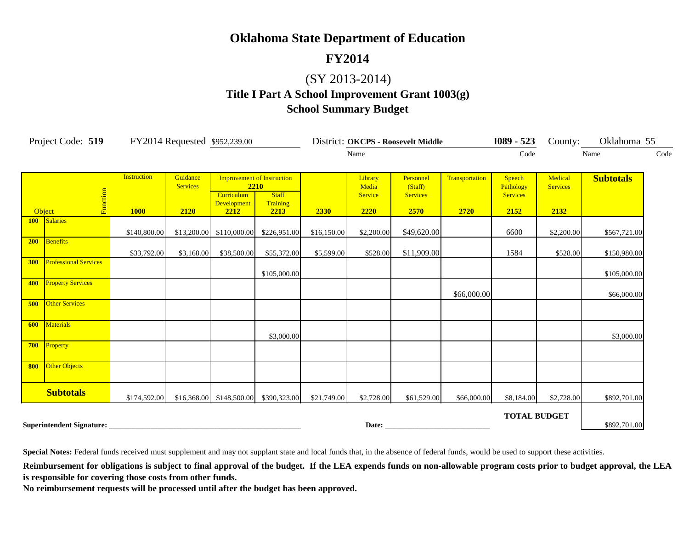# **FY2014**

# (SY 2013-2014)

**Title I Part A School Improvement Grant 1003(g)**

#### **School Summary Budget**

|            | Project Code: 519            | FY2014 Requested \$952,239.00     |                                     |                                          |                                                                               |             |                                     | District: OKCPS - Roosevelt Middle              |                        | $1089 - 523$                                   | County:                            | Oklahoma 55      |      |
|------------|------------------------------|-----------------------------------|-------------------------------------|------------------------------------------|-------------------------------------------------------------------------------|-------------|-------------------------------------|-------------------------------------------------|------------------------|------------------------------------------------|------------------------------------|------------------|------|
|            |                              |                                   |                                     | Name                                     |                                                                               |             |                                     |                                                 |                        | Code                                           |                                    | Name             | Code |
|            | Function<br>Object           | <b>Instruction</b><br><b>1000</b> | Guidance<br><b>Services</b><br>2120 | <b>Curriculum</b><br>Development<br>2212 | <b>Improvement of Instruction</b><br>2210<br><b>Staff</b><br>Training<br>2213 | 2330        | Library<br>Media<br>Service<br>2220 | Personnel<br>(Staff)<br><b>Services</b><br>2570 | Transportation<br>2720 | Speech<br>Pathology<br><b>Services</b><br>2152 | Medical<br><b>Services</b><br>2132 | <b>Subtotals</b> |      |
| <b>100</b> | Salaries                     | \$140,800.00                      | \$13,200.00                         | \$110,000.00                             | \$226,951.00                                                                  | \$16,150.00 | \$2,200.00                          | \$49,620.00                                     |                        | 6600                                           | \$2,200.00                         | \$567,721.00     |      |
| 200        | Benefits                     | \$33,792.00                       | \$3,168.00                          | \$38,500.00                              | \$55,372.00                                                                   | \$5,599.00  | \$528.00                            | \$11,909.00                                     |                        | 1584                                           | \$528.00                           | \$150,980.00     |      |
| 300        | <b>Professional Services</b> |                                   |                                     |                                          | \$105,000.00                                                                  |             |                                     |                                                 |                        |                                                |                                    | \$105,000.00     |      |
| 400        | <b>Property Services</b>     |                                   |                                     |                                          |                                                                               |             |                                     |                                                 | \$66,000.00            |                                                |                                    | \$66,000.00      |      |
| 500        | <b>Other Services</b>        |                                   |                                     |                                          |                                                                               |             |                                     |                                                 |                        |                                                |                                    |                  |      |
|            | <b>600</b> Materials         |                                   |                                     |                                          | \$3,000.00                                                                    |             |                                     |                                                 |                        |                                                |                                    | \$3,000.00       |      |
|            | 700 Property                 |                                   |                                     |                                          |                                                                               |             |                                     |                                                 |                        |                                                |                                    |                  |      |
| 800        | Other Objects                |                                   |                                     |                                          |                                                                               |             |                                     |                                                 |                        |                                                |                                    |                  |      |
|            | <b>Subtotals</b>             | \$174,592.00                      |                                     | $$16,368.00$ $$148,500.00$               | \$390,323.00                                                                  | \$21,749.00 | \$2,728.00                          | \$61,529.00                                     | \$66,000.00            | \$8,184.00                                     | \$2,728.00                         | \$892,701.00     |      |
|            |                              |                                   |                                     |                                          |                                                                               |             |                                     | Date: <u>Date:</u>                              |                        | <b>TOTAL BUDGET</b>                            |                                    | \$892,701.00     |      |

**Special Notes:** Federal funds received must supplement and may not supplant state and local funds that, in the absence of federal funds, would be used to support these activities.

Reimbursement for obligations is subject to final approval of the budget. If the LEA expends funds on non-allowable program costs prior to budget approval, the LEA **is responsible for covering those costs from other funds.**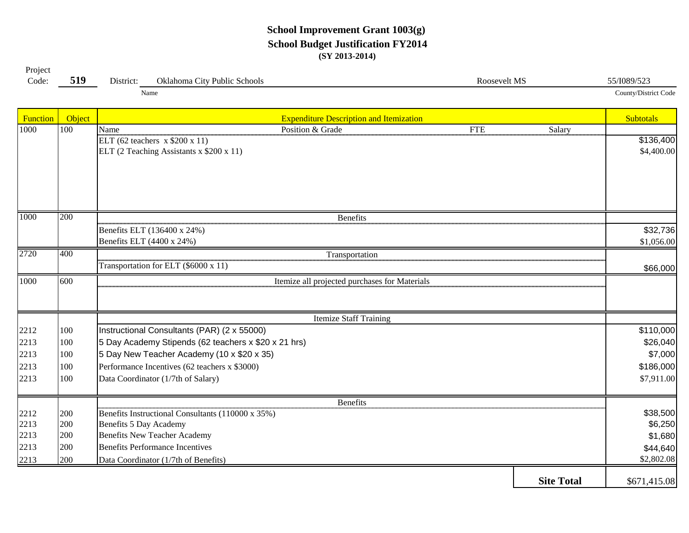#### **School Improvement Grant 1003(g) School Budget Justification FY2014 (SY 2013-2014)**

| -------<br>Code: | 519<br>ັ້ | District: | $\sim$<br>lahoma City Public Schools | Roosevelt MS | 55/1089/523          |
|------------------|-----------|-----------|--------------------------------------|--------------|----------------------|
|                  |           |           | Name                                 |              | County/District Code |

Project

Function Biography Controllering Controllering in the Subtotals Expenditure Description and Itemization Controllering Controllering Subtotals 1000 | 100 | Name Salary Position & Grade The FTE Salary \$136,400 \$4,400.00 200\$32,736 \$1,056.00 400\$66,000 600100 \$110,000 Instructional Consultants (PAR) (2 x 55000) 100 5 Day Academy Stipends (62 teachers x \$20 x 21 hrs) \$26,040 100 5 Day New Teacher Academy (10 x \$20 x 35) \$7,000 100 \$186,000 2213 Performance Incentives (62 teachers x \$3000) 1002213 [100 Data Coordinator (1/7th of Salary) \$7,911.00 200 \$38,500 2212 Benefits Instructional Consultants (110000 x 35%) 200 \$6,250 2213 Benefits 5 Day Academy 200 \$1,680 2213 Benefits New Teacher Academy 2002213 [200] Benefits Performance Incentives **344,640 344,640** 200 \$2,802.08 2213 Data Coordinator (1/7th of Benefits)**Site Total** \$671,415.08 1000ELT (62 teachers x \$200 x 11) ELT (2 Teaching Assistants x \$200 x 11) 10000 200 Benefits Benefits ELT (136400 x 24%) Benefits ELT (4400 x 24%) 2720 Transportation Transportation for ELT (\$6000 x 11) 1000 600 | CONSERVITED STREET CONSERVANCE IN THE INTERNATION ITEMIZE ALL projected purchases for Materials Itemize Staff Training 221222132213Benefits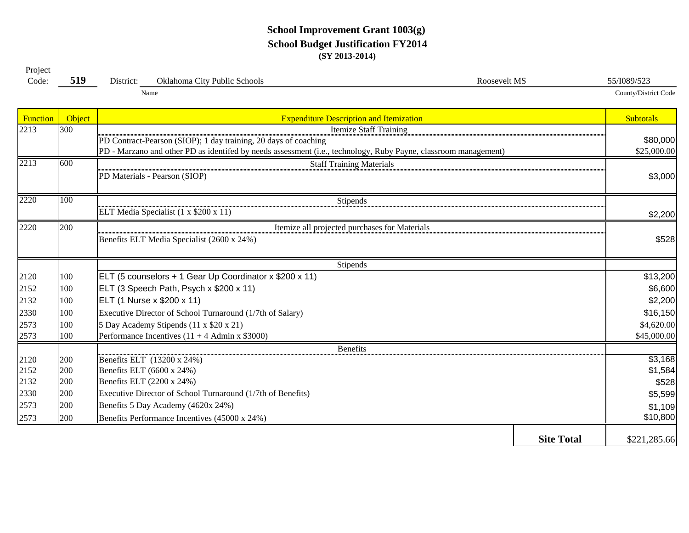#### **School Improvement Grant 1003(g) School Budget Justification FY2014 (SY 2013-2014)**

| Project |     |           |                                                      |              |             |
|---------|-----|-----------|------------------------------------------------------|--------------|-------------|
| Code:   | 519 | District: | $\gamma$ klahoma $\zeta_{11}$<br>City Public Schools | Roosevelt MS | 55/I089/523 |
|         |     |           |                                                      |              |             |

Name

| County/District Code |  |
|----------------------|--|

| Function | Object | <b>Expenditure Description and Itemization</b>                                                                  | <b>Subtotals</b> |
|----------|--------|-----------------------------------------------------------------------------------------------------------------|------------------|
| 2213     | 300    | <b>Itemize Staff Training</b>                                                                                   |                  |
|          |        | PD Contract-Pearson (SIOP); 1 day training, 20 days of coaching                                                 | \$80,000         |
|          |        | PD - Marzano and other PD as identifed by needs assessment (i.e., technology, Ruby Payne, classroom management) | \$25,000.00      |
| 2213     | 600    | <b>Staff Training Materials</b>                                                                                 |                  |
|          |        | PD Materials - Pearson (SIOP)                                                                                   | \$3,000          |
| 2220     | 100    | <b>Stipends</b>                                                                                                 |                  |
|          |        | ELT Media Specialist (1 x \$200 x 11)                                                                           | \$2,200          |
| 2220     | 200    | Itemize all projected purchases for Materials                                                                   |                  |
|          |        | Benefits ELT Media Specialist (2600 x 24%)                                                                      | \$528            |
|          |        | Stipends                                                                                                        |                  |
| 2120     | 100    | ELT (5 counselors + 1 Gear Up Coordinator x \$200 x 11)                                                         | \$13,200         |
| 2152     | 100    | ELT (3 Speech Path, Psych x \$200 x 11)                                                                         | \$6,600          |
| 2132     | 100    | ELT (1 Nurse x \$200 x 11)                                                                                      | \$2,200          |
| 2330     | 100    | Executive Director of School Turnaround (1/7th of Salary)                                                       | \$16,150         |
| 2573     | 100    | 5 Day Academy Stipends (11 x \$20 x 21)                                                                         | \$4,620.00       |
| 2573     | 100    | Performance Incentives $(11 + 4$ Admin x \$3000)                                                                | \$45,000.00      |
|          |        | <b>Benefits</b>                                                                                                 |                  |
| 2120     | 200    | Benefits ELT (13200 x 24%)                                                                                      | \$3,168          |
| 2152     | 200    | Benefits ELT (6600 x 24%)                                                                                       | \$1,584          |
| 2132     | 200    | Benefits ELT (2200 x 24%)                                                                                       | \$528            |
| 2330     | 200    | Executive Director of School Turnaround (1/7th of Benefits)                                                     | \$5,599          |
| 2573     | 200    | Benefits 5 Day Academy (4620x 24%)                                                                              | \$1,109          |
| 2573     | 200    | Benefits Performance Incentives (45000 x 24%)                                                                   | \$10,800         |
|          |        | <b>Site Total</b>                                                                                               | \$221,285.66     |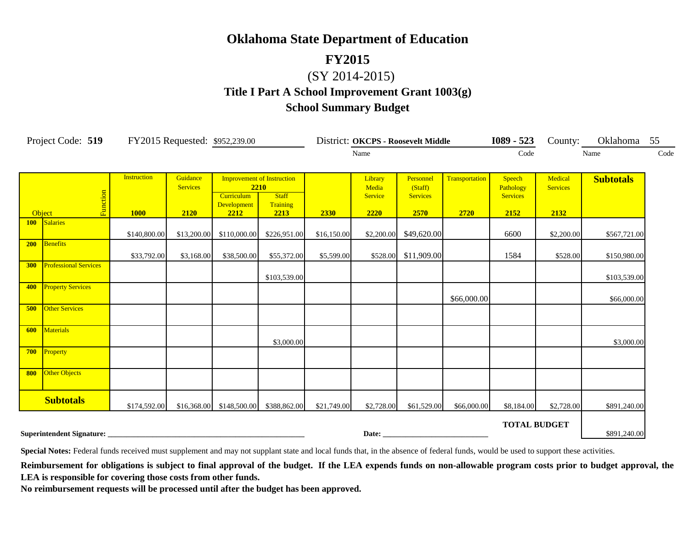#### **FY2015**

# (SY 2014-2015)

# **Title I Part A School Improvement Grant 1003(g) School Summary Budget**

|            | Project Code: 519                |                                   | FY2015 Requested: \$952,239.00      |                                                                                       |                                  |             |                                            | District: OKCPS - Roosevelt Middle              |                        | $1089 - 523$                                   | County:                            | Oklahoma         | 55   |
|------------|----------------------------------|-----------------------------------|-------------------------------------|---------------------------------------------------------------------------------------|----------------------------------|-------------|--------------------------------------------|-------------------------------------------------|------------------------|------------------------------------------------|------------------------------------|------------------|------|
|            |                                  |                                   |                                     |                                                                                       |                                  |             | Name                                       |                                                 |                        | Code                                           |                                    | Name             | Code |
| Object     | Function                         | <b>Instruction</b><br><b>1000</b> | Guidance<br><b>Services</b><br>2120 | <b>Improvement of Instruction</b><br>2210<br><b>Curriculum</b><br>Development<br>2212 | <b>Staff</b><br>Training<br>2213 | <b>2330</b> | Library<br>Media<br><b>Service</b><br>2220 | Personnel<br>(Staff)<br><b>Services</b><br>2570 | Transportation<br>2720 | Speech<br>Pathology<br><b>Services</b><br>2152 | Medical<br><b>Services</b><br>2132 | <b>Subtotals</b> |      |
| <b>100</b> | Salaries                         |                                   |                                     |                                                                                       |                                  |             |                                            |                                                 |                        |                                                |                                    |                  |      |
|            |                                  | \$140,800.00                      | \$13,200.00                         | \$110,000.00                                                                          | \$226,951.00                     | \$16,150.00 | \$2,200.00                                 | \$49,620.00                                     |                        | 6600                                           | \$2,200.00                         | \$567,721.00     |      |
| <b>200</b> | Benefits                         | \$33,792.00                       | \$3,168.00                          | \$38,500.00                                                                           | \$55,372.00                      | \$5,599.00  |                                            | \$528.00 \$11,909.00                            |                        | 1584                                           | \$528.00                           | \$150,980.00     |      |
| 300        | <b>Professional Services</b>     |                                   |                                     |                                                                                       | \$103,539.00                     |             |                                            |                                                 |                        |                                                |                                    | \$103,539.00     |      |
| 400        | <b>Property Services</b>         |                                   |                                     |                                                                                       |                                  |             |                                            |                                                 | \$66,000.00            |                                                |                                    | \$66,000.00      |      |
| 500        | <b>Other Services</b>            |                                   |                                     |                                                                                       |                                  |             |                                            |                                                 |                        |                                                |                                    |                  |      |
| 600        | Materials                        |                                   |                                     |                                                                                       | \$3,000.00                       |             |                                            |                                                 |                        |                                                |                                    | \$3,000.00       |      |
| 700        | Property                         |                                   |                                     |                                                                                       |                                  |             |                                            |                                                 |                        |                                                |                                    |                  |      |
| 800        | <b>Other Objects</b>             |                                   |                                     |                                                                                       |                                  |             |                                            |                                                 |                        |                                                |                                    |                  |      |
|            | <b>Subtotals</b>                 | \$174,592.00                      | \$16,368.00                         | \$148,500.00                                                                          | \$388,862.00                     | \$21,749.00 | \$2,728.00                                 | \$61,529.00                                     | \$66,000.00            | \$8,184.00                                     | \$2,728.00                         | \$891,240.00     |      |
|            | <b>Superintendent Signature:</b> |                                   |                                     |                                                                                       |                                  | Date:       |                                            |                                                 |                        | <b>TOTAL BUDGET</b>                            |                                    | \$891,240.00     |      |

Special Notes: Federal funds received must supplement and may not supplant state and local funds that, in the absence of federal funds, would be used to support these activities.

Reimbursement for obligations is subject to final approval of the budget. If the LEA expends funds on non-allowable program costs prior to budget approval, the **LEA is responsible for covering those costs from other funds.**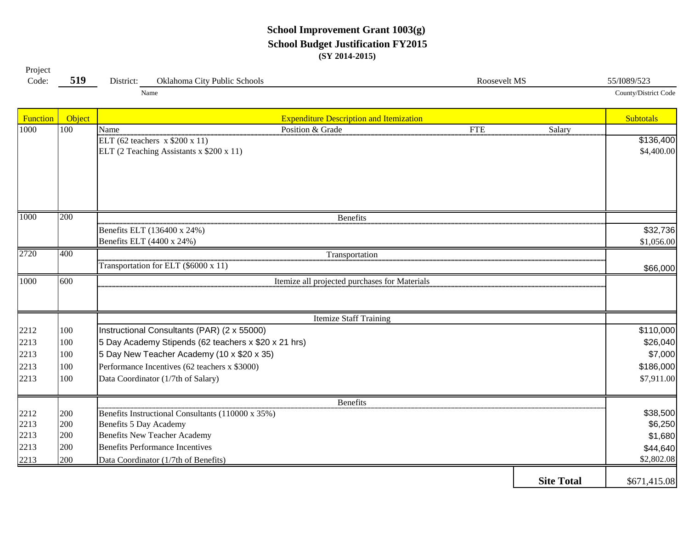#### **School Improvement Grant 1003(g) School Budget Justification FY2015 (SY 2014-2015)**

| -------<br>$\sim$<br>Code: | $-10$<br>$51^\circ$ | $\overline{\phantom{a}}$<br>. .<br>District: | <b>Oklahoma</b><br>$\sim$<br>~·<br>City Public Schools | Roosevelt MS | E/T000/T22<br>17/1085 <sup>,</sup> |
|----------------------------|---------------------|----------------------------------------------|--------------------------------------------------------|--------------|------------------------------------|
|                            |                     |                                              | Name                                                   |              | County/District C                  |

Project

Function Biography Controllering Controllering in the Subtotals Expenditure Description and Itemization Controllering Controllering Subtotals 1000 | 100 | Name Salary Position & Grade The FTE Salary \$136,400 \$4,400.00 200\$32,736 \$1,056.00 400\$66,000 600100 \$110,000 Instructional Consultants (PAR) (2 x 55000) 100 5 Day Academy Stipends (62 teachers x \$20 x 21 hrs) \$26,040 100 5 Day New Teacher Academy (10 x \$20 x 35) \$7,000 100 \$186,000 2213 Performance Incentives (62 teachers x \$3000) 1002213 [100 Data Coordinator (1/7th of Salary) \$7,911.00 200 \$38,500 2212 Benefits Instructional Consultants (110000 x 35%) 200 \$6,250 2213 Benefits 5 Day Academy 200 \$1,680 2213 Benefits New Teacher Academy 2002213 [200] Benefits Performance Incentives **344,640 344,640** 200 \$2,802.08 2213 Data Coordinator (1/7th of Benefits)**Site Total** \$671,415.08 1000ELT (62 teachers x \$200 x 11) ELT (2 Teaching Assistants x \$200 x 11) 10000 200 Benefits Benefits ELT (136400 x 24%) Benefits ELT (4400 x 24%) 2720 Transportation Transportation for ELT (\$6000 x 11) 1000 600 | CONSERVITED STREET CONSERVANCE IN THE INTERNATION ITEMIZE ALL projected purchases for Materials Itemize Staff Training 221222132213Benefits

County/District Code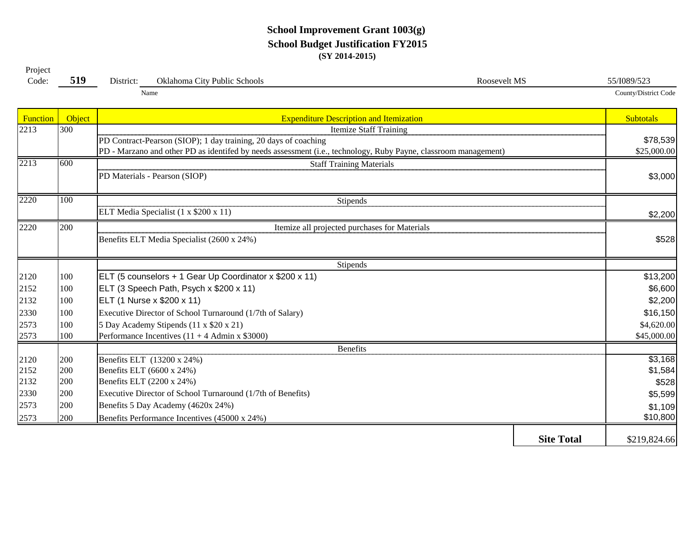#### **School Improvement Grant 1003(g) School Budget Justification FY2015 (SY 2014-2015)**

| Project<br>Code: | 519 | District: | Oklahoma City Public Schools | Roosevelt MS | 55/I089/523          |
|------------------|-----|-----------|------------------------------|--------------|----------------------|
|                  |     |           | Name                         |              | County/District Code |

| Function | Object                                                                                                          | <b>Expenditure Description and Itemization</b>                  |                   | <b>Subtotals</b>        |  |  |  |
|----------|-----------------------------------------------------------------------------------------------------------------|-----------------------------------------------------------------|-------------------|-------------------------|--|--|--|
| 2213     | 300                                                                                                             | <b>Itemize Staff Training</b>                                   |                   |                         |  |  |  |
|          |                                                                                                                 | PD Contract-Pearson (SIOP); 1 day training, 20 days of coaching |                   | \$78,539<br>\$25,000.00 |  |  |  |
|          | PD - Marzano and other PD as identifed by needs assessment (i.e., technology, Ruby Payne, classroom management) |                                                                 |                   |                         |  |  |  |
| 2213     | 600                                                                                                             | <b>Staff Training Materials</b>                                 |                   |                         |  |  |  |
|          |                                                                                                                 | PD Materials - Pearson (SIOP)                                   |                   | \$3,000                 |  |  |  |
|          |                                                                                                                 |                                                                 |                   |                         |  |  |  |
| 2220     | 100                                                                                                             | Stipends                                                        |                   |                         |  |  |  |
|          |                                                                                                                 | ELT Media Specialist (1 x \$200 x 11)                           |                   | \$2,200                 |  |  |  |
| 2220     | 200                                                                                                             | Itemize all projected purchases for Materials                   |                   |                         |  |  |  |
|          |                                                                                                                 | Benefits ELT Media Specialist (2600 x 24%)                      |                   | \$528                   |  |  |  |
|          |                                                                                                                 |                                                                 |                   |                         |  |  |  |
|          |                                                                                                                 | Stipends                                                        |                   |                         |  |  |  |
| 2120     | 100                                                                                                             | ELT (5 counselors + 1 Gear Up Coordinator x \$200 x 11)         |                   | \$13,200                |  |  |  |
| 2152     | 100                                                                                                             | ELT (3 Speech Path, Psych x \$200 x 11)                         |                   | \$6,600                 |  |  |  |
| 2132     | 100                                                                                                             | ELT (1 Nurse x \$200 x 11)                                      |                   | \$2,200                 |  |  |  |
| 2330     | 100                                                                                                             | Executive Director of School Turnaround (1/7th of Salary)       |                   | \$16,150                |  |  |  |
| 2573     | 100                                                                                                             | 5 Day Academy Stipends (11 x \$20 x 21)                         |                   | \$4,620.00              |  |  |  |
| 2573     | 100                                                                                                             | Performance Incentives $(11 + 4$ Admin x \$3000)                |                   | \$45,000.00             |  |  |  |
|          |                                                                                                                 | <b>Benefits</b>                                                 |                   |                         |  |  |  |
| 2120     | 200                                                                                                             | Benefits ELT (13200 x 24%)                                      |                   | \$3,168                 |  |  |  |
| 2152     | 200                                                                                                             | Benefits ELT (6600 x 24%)                                       |                   | \$1,584                 |  |  |  |
| 2132     | 200                                                                                                             | Benefits ELT (2200 x 24%)                                       |                   | \$528                   |  |  |  |
| 2330     | 200                                                                                                             | Executive Director of School Turnaround (1/7th of Benefits)     |                   | \$5,599                 |  |  |  |
| 2573     | 200                                                                                                             | Benefits 5 Day Academy (4620x 24%)                              |                   | \$1,109                 |  |  |  |
| 2573     | 200                                                                                                             | Benefits Performance Incentives (45000 x 24%)                   |                   | \$10,800                |  |  |  |
|          |                                                                                                                 |                                                                 | <b>Site Total</b> | \$219,824.66            |  |  |  |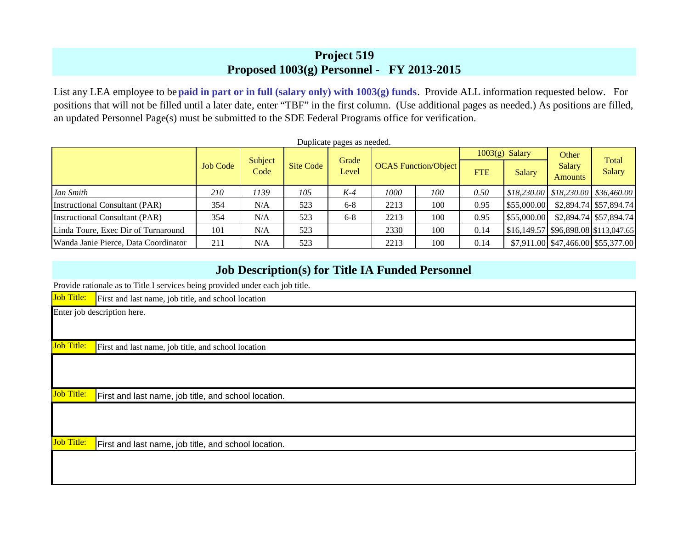## **Project 519 Pro posed 1003(g) Personnel - FY 2013-2015**

List any LEA employee to be **paid in part or in full (salary only) with 1003(g) funds**. Provide ALL information requested below. For positions that will not be filled until a later date, enter "TBF" in the first column. (Use additional pages as needed.) As positions are filled, an updated Personnel Page(s) must be submitted to the SDE Federal Programs office for verification.

|                                      |                 |                 |           | Duplicate pages as needed. |      |                                           |      | $1003(g)$ Salary                     | Other                                                                                                   |                        |
|--------------------------------------|-----------------|-----------------|-----------|----------------------------|------|-------------------------------------------|------|--------------------------------------|---------------------------------------------------------------------------------------------------------|------------------------|
|                                      | <b>Job Code</b> | Subject<br>Code | Site Code | Grade<br>Level             |      | <b>OCAS</b> Function/Object<br><b>FTE</b> |      | <b>Salary</b>                        | <b>Salary</b><br><b>Amounts</b>                                                                         | Total<br>Salary        |
| Jan Smith                            | 210             | 1139            | 105       | $K-4$                      | 1000 | 100                                       | 0.50 |                                      | $\left  \frac{6}{518,230.00} \right  \frac{1}{518,230.00} \left  \frac{336,460.00}{536,460.00} \right $ |                        |
| Instructional Consultant (PAR)       | 354             | N/A             | 523       | $6 - 8$                    | 2213 | 100                                       | 0.95 | \$55,000.00                          |                                                                                                         | \$2,894.74 \$57,894.74 |
| Instructional Consultant (PAR)       | 354             | N/A             | 523       | $6 - 8$                    | 2213 | 100                                       | 0.95 | \$55,000.00                          |                                                                                                         | \$2,894.74 \$57,894.74 |
| Linda Toure, Exec Dir of Turnaround  | 101             | N/A             | 523       |                            | 2330 | 100                                       | 0.14 | \$16,149.57 \$96,898.08 \$113,047.65 |                                                                                                         |                        |
| Wanda Janie Pierce, Data Coordinator | 211             | N/A             | 523       |                            | 2213 | 100                                       | 0.14 |                                      | $$7,911.00 \; $47,466.00 \; $55,377.00$                                                                 |                        |

# **Job Description(s) for Title IA Funded Personnel**

Provide rationale as to Title I services being provided under each job title.

| <b>Job Title:</b> | ັ້<br>First and last name, job title, and school location |  |  |  |  |  |  |  |
|-------------------|-----------------------------------------------------------|--|--|--|--|--|--|--|
|                   | Enter job description here.                               |  |  |  |  |  |  |  |
|                   |                                                           |  |  |  |  |  |  |  |
| <b>Job Title:</b> | First and last name, job title, and school location       |  |  |  |  |  |  |  |
|                   |                                                           |  |  |  |  |  |  |  |
|                   |                                                           |  |  |  |  |  |  |  |
| <b>Job Title:</b> | First and last name, job title, and school location.      |  |  |  |  |  |  |  |
|                   |                                                           |  |  |  |  |  |  |  |
|                   |                                                           |  |  |  |  |  |  |  |
| <b>Job Title:</b> | First and last name, job title, and school location.      |  |  |  |  |  |  |  |
|                   |                                                           |  |  |  |  |  |  |  |
|                   |                                                           |  |  |  |  |  |  |  |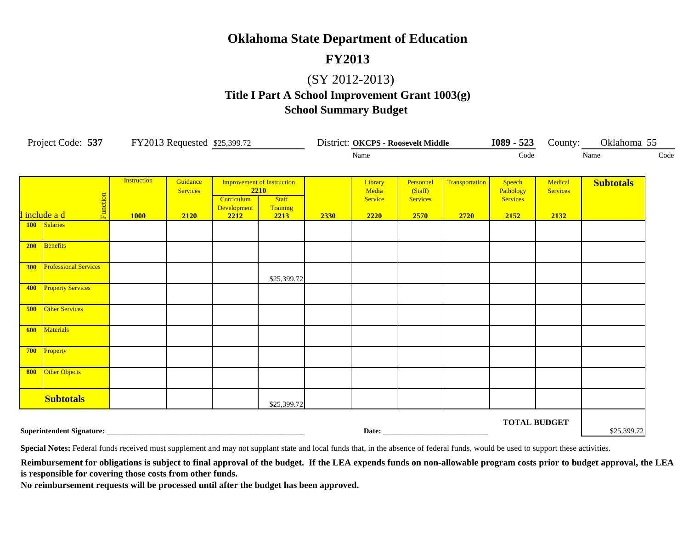## **FY2013**

## (SY 2012-2013)

# **School Summary Budget Title I Part A School Improvement Grant 1003(g)**

| Project Code: 537 FY2013 Requested \$25,399.72                 |                              |                                   | District: OKCPS - Roosevelt Middle  |                                   |                                                                               |      | $1089 - 523$                        | County: Oklahoma 55                             |                        |                                                |                                    |                  |      |
|----------------------------------------------------------------|------------------------------|-----------------------------------|-------------------------------------|-----------------------------------|-------------------------------------------------------------------------------|------|-------------------------------------|-------------------------------------------------|------------------------|------------------------------------------------|------------------------------------|------------------|------|
|                                                                |                              |                                   | Name                                |                                   |                                                                               |      |                                     |                                                 |                        |                                                |                                    | Name             | Code |
|                                                                | Function<br>d include a d    | <b>Instruction</b><br><b>1000</b> | Guidance<br><b>Services</b><br>2120 | Curriculum<br>Development<br>2212 | <b>Improvement of Instruction</b><br>2210<br><b>Staff</b><br>Training<br>2213 | 2330 | Library<br>Media<br>Service<br>2220 | Personnel<br>(Staff)<br><b>Services</b><br>2570 | Transportation<br>2720 | Speech<br>Pathology<br><b>Services</b><br>2152 | Medical<br><b>Services</b><br>2132 | <b>Subtotals</b> |      |
|                                                                | 100 Salaries                 |                                   |                                     |                                   |                                                                               |      |                                     |                                                 |                        |                                                |                                    |                  |      |
| 200                                                            | Benefits                     |                                   |                                     |                                   |                                                                               |      |                                     |                                                 |                        |                                                |                                    |                  |      |
| 300                                                            | <b>Professional Services</b> |                                   |                                     |                                   | \$25,399.72                                                                   |      |                                     |                                                 |                        |                                                |                                    |                  |      |
| 400                                                            | <b>Property Services</b>     |                                   |                                     |                                   |                                                                               |      |                                     |                                                 |                        |                                                |                                    |                  |      |
| 500                                                            | <b>Other Services</b>        |                                   |                                     |                                   |                                                                               |      |                                     |                                                 |                        |                                                |                                    |                  |      |
| 600                                                            | Materials                    |                                   |                                     |                                   |                                                                               |      |                                     |                                                 |                        |                                                |                                    |                  |      |
| 700<br>800                                                     | Property<br>Other Objects    |                                   |                                     |                                   |                                                                               |      |                                     |                                                 |                        |                                                |                                    |                  |      |
|                                                                |                              |                                   |                                     |                                   |                                                                               |      |                                     |                                                 |                        |                                                |                                    |                  |      |
|                                                                | <b>Subtotals</b>             |                                   |                                     |                                   | \$25,399.72                                                                   |      |                                     |                                                 |                        |                                                |                                    |                  |      |
| <b>TOTAL BUDGET</b><br>Superintendent Signature: _____________ |                              |                                   |                                     |                                   |                                                                               |      |                                     | \$25,399.72                                     |                        |                                                |                                    |                  |      |

Special Notes: Federal funds received must supplement and may not supplant state and local funds that, in the absence of federal funds, would be used to support these activities.

Reimbursement for obligations is subject to final approval of the budget. If the LEA expends funds on non-allowable program costs prior to budget approval, the LEA **is responsible for covering those costs from other funds.**